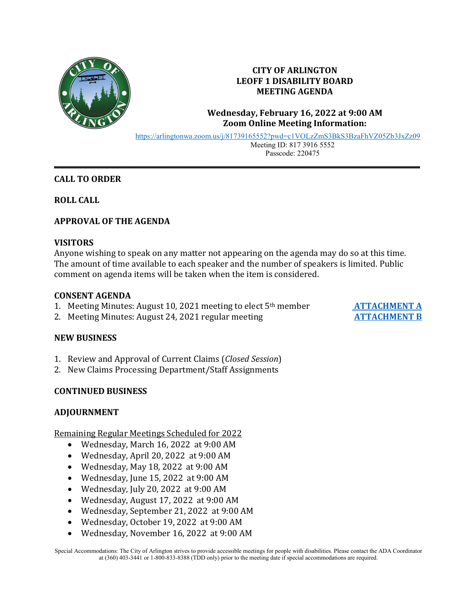

# **CITY OF ARLINGTON LEOFF 1 DISABILITY BOARD MEETING AGENDA**

## **Wednesday, February 16, 2022 at 9:00 AM Zoom Online Meeting Information:**

<https://arlingtonwa.zoom.us/j/81739165552?pwd=c1VOLzZmS3BkS3BzaFhVZ05Zb3JxZz09> Meeting ID: 817 3916 5552 Passcode: 220475

## **CALL TO ORDER**

**ROLL CALL**

## **APPROVAL OF THE AGENDA**

### **VISITORS**

Anyone wishing to speak on any matter not appearing on the agenda may do so at this time. The amount of time available to each speaker and the number of speakers is limited. Public comment on agenda items will be taken when the item is considered.

**\_\_\_\_\_\_\_\_\_\_\_\_\_\_\_\_\_\_\_\_\_\_\_\_\_\_\_\_\_\_\_\_\_\_\_\_\_\_\_\_\_\_\_\_\_\_\_\_\_\_\_\_\_\_\_\_\_\_\_\_\_\_\_\_\_\_\_\_\_\_\_\_\_\_\_\_\_\_\_\_\_**

#### **CONSENT AGENDA**

- 1. Meeting Minutes: August 10, 2021 meeting to elect 5<sup>th</sup> member **[ATTACHMENT A](https://www.arlingtonwa.gov/DocumentCenter/View/6699/ATTACHMENT-A-8-10-2021-Meeting-Minutes-)**<br>2. Meeting Minutes: August 24, 2021 regular meeting **ATTACHMENT B**
- 2. Meeting Minutes: August 24, 2021 regular meeting

### **NEW BUSINESS**

- 1. Review and Approval of Current Claims (*Closed Session*)
- 2. New Claims Processing Department/Staff Assignments

### **CONTINUED BUSINESS**

### **ADJOURNMENT**

Remaining Regular Meetings Scheduled for 2022

- Wednesday, March 16, 2022 at 9:00 AM
- Wednesday, April 20, 2022 at 9:00 AM
- Wednesday, May 18, 2022 at 9:00 AM
- Wednesday, June 15, 2022 at 9:00 AM
- Wednesday, July 20, 2022 at 9:00 AM
- Wednesday, August 17, 2022 at 9:00 AM
- Wednesday, September 21, 2022 at 9:00 AM
- Wednesday, October 19, 2022 at 9:00 AM
- Wednesday, November 16, 2022 at 9:00 AM